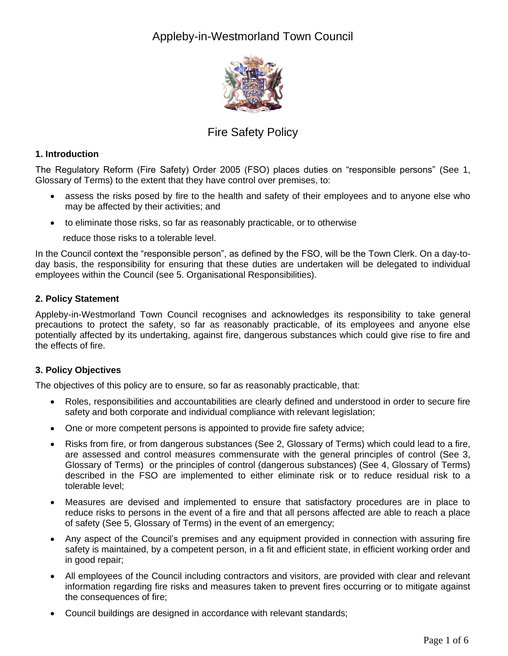# Appleby-in-Westmorland Town Council



## Fire Safety Policy

## **1. Introduction**

The Regulatory Reform (Fire Safety) Order 2005 (FSO) places duties on "responsible persons" (See 1, Glossary of Terms) to the extent that they have control over premises, to:

- assess the risks posed by fire to the health and safety of their employees and to anyone else who may be affected by their activities; and
- to eliminate those risks, so far as reasonably practicable, or to otherwise

reduce those risks to a tolerable level.

In the Council context the "responsible person", as defined by the FSO, will be the Town Clerk. On a day-today basis, the responsibility for ensuring that these duties are undertaken will be delegated to individual employees within the Council (see 5. Organisational Responsibilities).

## **2. Policy Statement**

Appleby-in-Westmorland Town Council recognises and acknowledges its responsibility to take general precautions to protect the safety, so far as reasonably practicable, of its employees and anyone else potentially affected by its undertaking, against fire, dangerous substances which could give rise to fire and the effects of fire.

## **3. Policy Objectives**

The objectives of this policy are to ensure, so far as reasonably practicable, that:

- Roles, responsibilities and accountabilities are clearly defined and understood in order to secure fire safety and both corporate and individual compliance with relevant legislation;
- One or more competent persons is appointed to provide fire safety advice;
- Risks from fire, or from dangerous substances (See 2, Glossary of Terms) which could lead to a fire, are assessed and control measures commensurate with the general principles of control (See 3, Glossary of Terms) or the principles of control (dangerous substances) (See 4, Glossary of Terms) described in the FSO are implemented to either eliminate risk or to reduce residual risk to a tolerable level;
- Measures are devised and implemented to ensure that satisfactory procedures are in place to reduce risks to persons in the event of a fire and that all persons affected are able to reach a place of safety (See 5, Glossary of Terms) in the event of an emergency;
- Any aspect of the Council's premises and any equipment provided in connection with assuring fire safety is maintained, by a competent person, in a fit and efficient state, in efficient working order and in good repair;
- All employees of the Council including contractors and visitors, are provided with clear and relevant information regarding fire risks and measures taken to prevent fires occurring or to mitigate against the consequences of fire;
- Council buildings are designed in accordance with relevant standards;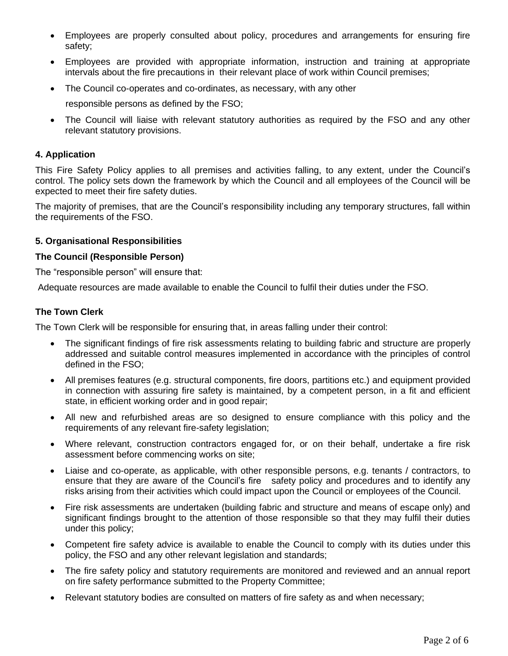- Employees are properly consulted about policy, procedures and arrangements for ensuring fire safety;
- Employees are provided with appropriate information, instruction and training at appropriate intervals about the fire precautions in their relevant place of work within Council premises;
- The Council co-operates and co-ordinates, as necessary, with any other

responsible persons as defined by the FSO;

• The Council will liaise with relevant statutory authorities as required by the FSO and any other relevant statutory provisions.

## **4. Application**

This Fire Safety Policy applies to all premises and activities falling, to any extent, under the Council's control. The policy sets down the framework by which the Council and all employees of the Council will be expected to meet their fire safety duties.

The majority of premises, that are the Council's responsibility including any temporary structures, fall within the requirements of the FSO.

## **5. Organisational Responsibilities**

#### **The Council (Responsible Person)**

The "responsible person" will ensure that:

Adequate resources are made available to enable the Council to fulfil their duties under the FSO.

#### **The Town Clerk**

The Town Clerk will be responsible for ensuring that, in areas falling under their control:

- The significant findings of fire risk assessments relating to building fabric and structure are properly addressed and suitable control measures implemented in accordance with the principles of control defined in the FSO;
- All premises features (e.g. structural components, fire doors, partitions etc.) and equipment provided in connection with assuring fire safety is maintained, by a competent person, in a fit and efficient state, in efficient working order and in good repair;
- All new and refurbished areas are so designed to ensure compliance with this policy and the requirements of any relevant fire-safety legislation;
- Where relevant, construction contractors engaged for, or on their behalf, undertake a fire risk assessment before commencing works on site;
- Liaise and co-operate, as applicable, with other responsible persons, e.g. tenants / contractors, to ensure that they are aware of the Council's fire safety policy and procedures and to identify any risks arising from their activities which could impact upon the Council or employees of the Council.
- Fire risk assessments are undertaken (building fabric and structure and means of escape only) and significant findings brought to the attention of those responsible so that they may fulfil their duties under this policy;
- Competent fire safety advice is available to enable the Council to comply with its duties under this policy, the FSO and any other relevant legislation and standards;
- The fire safety policy and statutory requirements are monitored and reviewed and an annual report on fire safety performance submitted to the Property Committee;
- Relevant statutory bodies are consulted on matters of fire safety as and when necessary;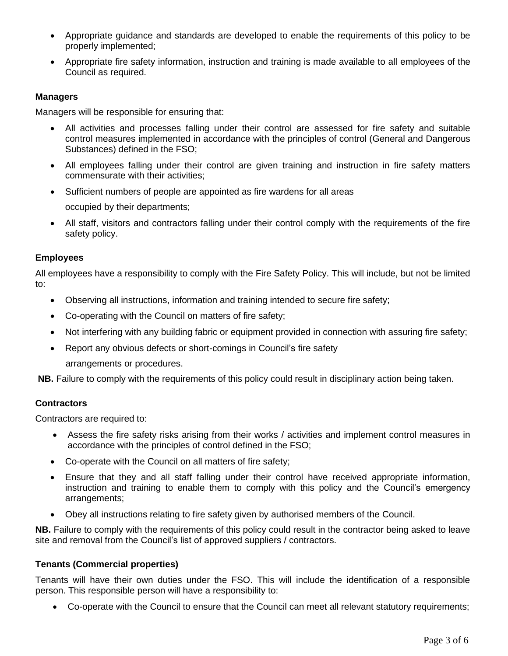- Appropriate guidance and standards are developed to enable the requirements of this policy to be properly implemented;
- Appropriate fire safety information, instruction and training is made available to all employees of the Council as required.

## **Managers**

Managers will be responsible for ensuring that:

- All activities and processes falling under their control are assessed for fire safety and suitable control measures implemented in accordance with the principles of control (General and Dangerous Substances) defined in the FSO;
- All employees falling under their control are given training and instruction in fire safety matters commensurate with their activities;
- Sufficient numbers of people are appointed as fire wardens for all areas

occupied by their departments;

• All staff, visitors and contractors falling under their control comply with the requirements of the fire safety policy.

#### **Employees**

All employees have a responsibility to comply with the Fire Safety Policy. This will include, but not be limited to:

- Observing all instructions, information and training intended to secure fire safety;
- Co-operating with the Council on matters of fire safety;
- Not interfering with any building fabric or equipment provided in connection with assuring fire safety;
- Report any obvious defects or short-comings in Council's fire safety arrangements or procedures.

**NB.** Failure to comply with the requirements of this policy could result in disciplinary action being taken.

#### **Contractors**

Contractors are required to:

- Assess the fire safety risks arising from their works / activities and implement control measures in accordance with the principles of control defined in the FSO;
- Co-operate with the Council on all matters of fire safety;
- Ensure that they and all staff falling under their control have received appropriate information, instruction and training to enable them to comply with this policy and the Council's emergency arrangements;
- Obey all instructions relating to fire safety given by authorised members of the Council.

**NB.** Failure to comply with the requirements of this policy could result in the contractor being asked to leave site and removal from the Council's list of approved suppliers / contractors.

#### **Tenants (Commercial properties)**

Tenants will have their own duties under the FSO. This will include the identification of a responsible person. This responsible person will have a responsibility to:

• Co-operate with the Council to ensure that the Council can meet all relevant statutory requirements;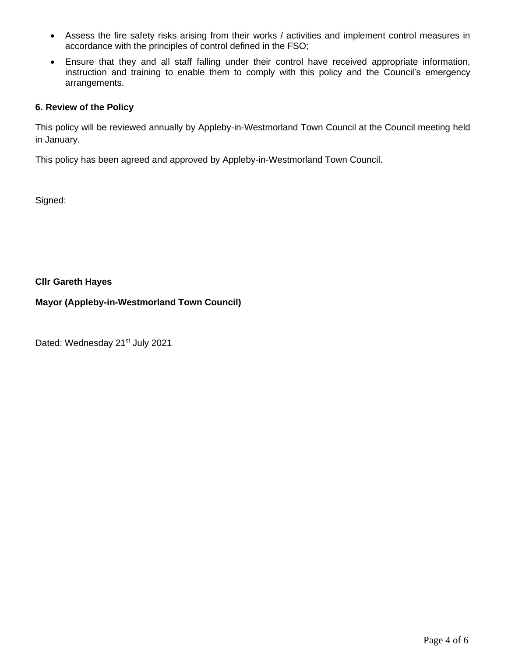- Assess the fire safety risks arising from their works / activities and implement control measures in accordance with the principles of control defined in the FSO;
- Ensure that they and all staff falling under their control have received appropriate information, instruction and training to enable them to comply with this policy and the Council's emergency arrangements.

## **6. Review of the Policy**

This policy will be reviewed annually by Appleby-in-Westmorland Town Council at the Council meeting held in January.

This policy has been agreed and approved by Appleby-in-Westmorland Town Council.

Signed:

## **Cllr Gareth Hayes**

### **Mayor (Appleby-in-Westmorland Town Council)**

Dated: Wednesday 21<sup>st</sup> July 2021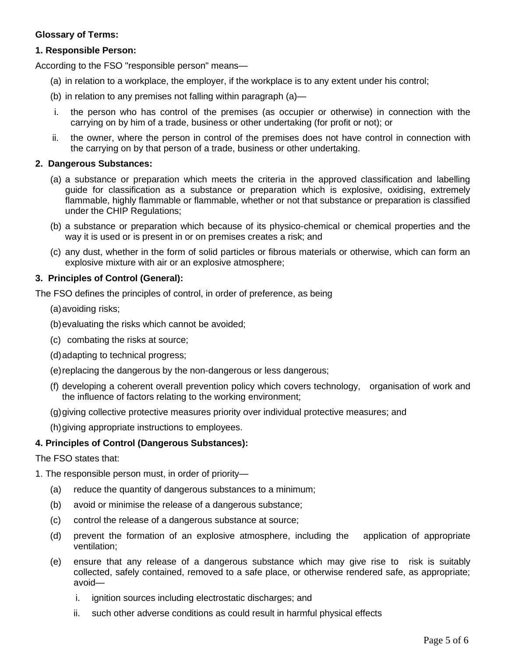## **Glossary of Terms:**

## **1. Responsible Person:**

According to the FSO "responsible person" means—

- (a) in relation to a workplace, the employer, if the workplace is to any extent under his control;
- (b) in relation to any premises not falling within paragraph (a)—
- i. the person who has control of the premises (as occupier or otherwise) in connection with the carrying on by him of a trade, business or other undertaking (for profit or not); or
- ii. the owner, where the person in control of the premises does not have control in connection with the carrying on by that person of a trade, business or other undertaking.

#### **2. Dangerous Substances:**

- (a) a substance or preparation which meets the criteria in the approved classification and labelling guide for classification as a substance or preparation which is explosive, oxidising, extremely flammable, highly flammable or flammable, whether or not that substance or preparation is classified under the CHIP Regulations;
- (b) a substance or preparation which because of its physico-chemical or chemical properties and the way it is used or is present in or on premises creates a risk; and
- (c) any dust, whether in the form of solid particles or fibrous materials or otherwise, which can form an explosive mixture with air or an explosive atmosphere;

## **3. Principles of Control (General):**

The FSO defines the principles of control, in order of preference, as being

- (a)avoiding risks;
- (b)evaluating the risks which cannot be avoided;
- (c) combating the risks at source;
- (d)adapting to technical progress;
- (e)replacing the dangerous by the non-dangerous or less dangerous;
- (f) developing a coherent overall prevention policy which covers technology, organisation of work and the influence of factors relating to the working environment;
- (g)giving collective protective measures priority over individual protective measures; and
- (h)giving appropriate instructions to employees.

## **4. Principles of Control (Dangerous Substances):**

The FSO states that:

- 1. The responsible person must, in order of priority—
	- (a) reduce the quantity of dangerous substances to a minimum;
	- (b) avoid or minimise the release of a dangerous substance;
	- (c) control the release of a dangerous substance at source;
	- (d) prevent the formation of an explosive atmosphere, including the application of appropriate ventilation;
	- (e) ensure that any release of a dangerous substance which may give rise to risk is suitably collected, safely contained, removed to a safe place, or otherwise rendered safe, as appropriate; avoid
		- i. ignition sources including electrostatic discharges; and
		- ii. such other adverse conditions as could result in harmful physical effects